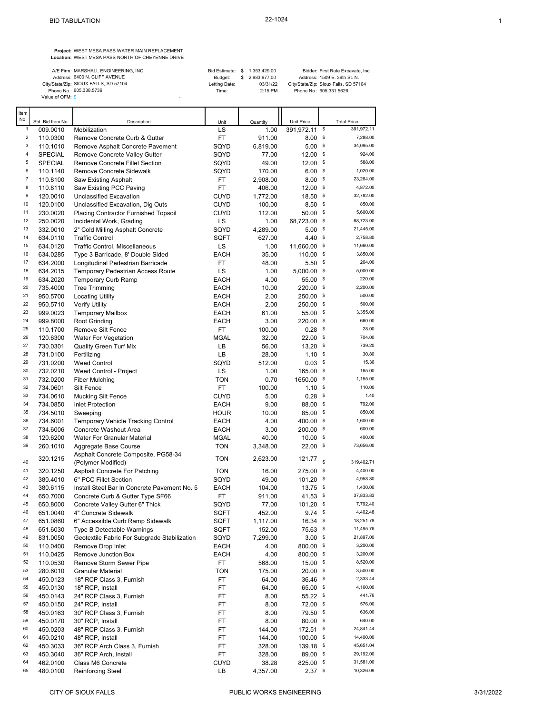**Project:** WEST MESA PASS WATER MAIN REPLACEMENT **Location:** WEST MESA PASS NORTH OF CHEYENNE DRIVE

| A/E Firm: MARSHALL ENGINEERING, INC.  | Bid Estimate: \$ 1.353.429.00 |                 | Bidder: First Rate Excavate, Inc.     |
|---------------------------------------|-------------------------------|-----------------|---------------------------------------|
| Address: 6400 N. CLIFF AVENUE         | Budget:                       | \$ 2.983.977.00 | Address: 1509 E. 39th St. N.          |
| City/State/Zip: SIOUX FALLS, SD 57104 | Letting Date:                 | 03/31/22        | City/State/Zip: Sioux Falls, SD 57104 |
| Phone No.: 605.338.5736               | Time:                         | $2:15$ PM       | Phone No.: 605.331.5626               |
| Value of OFM: \$                      |                               |                 |                                       |

| Item<br>No.             |                               |                                                                     |                   |                  |                                    |      |                                  |
|-------------------------|-------------------------------|---------------------------------------------------------------------|-------------------|------------------|------------------------------------|------|----------------------------------|
| $\mathbf{1}$            | Std. Bid Item No.<br>009.0010 | Description<br>Mobilization                                         | Unit<br>LS        | Quantity<br>1.00 | Unit Price<br>391,972.11 \$        |      | <b>Total Price</b><br>391,972.11 |
| $\overline{\mathbf{c}}$ | 110.0300                      | Remove Concrete Curb & Gutter                                       | FT                | 911.00           | $8.00$ \$                          |      | 7,288.00                         |
| 3                       | 110.1010                      | Remove Asphalt Concrete Pavement                                    | SQYD              | 6,819.00         | $5.00$ \$                          |      | 34,095.00                        |
| 4                       | <b>SPECIAL</b>                | Remove Concrete Valley Gutter                                       | SQYD              | 77.00            | $12.00$ \$                         |      | 924.00                           |
| 5                       | <b>SPECIAL</b>                | <b>Remove Concrete Fillet Section</b>                               | SQYD              | 49.00            | $12.00$ \$                         |      | 588.00                           |
| 6                       | 110.1140                      | Remove Concrete Sidewalk                                            | SQYD              | 170.00           | $6.00$ \$                          |      | 1,020.00                         |
| $\overline{7}$          | 110.8100                      | Saw Existing Asphalt                                                | FT                | 2,908.00         | 8.00                               | \$   | 23,264.00                        |
| 8                       | 110.8110                      | Saw Existing PCC Paving                                             | FT                | 406.00           | $12.00$ \$                         |      | 4,872.00                         |
| 9                       | 120.0010                      | Unclassified Excavation                                             | CUYD              | 1,772.00         | $18.50$ \$                         |      | 32,782.00                        |
| 10                      | 120.0100                      | Unclassified Excavation, Dig Outs                                   | <b>CUYD</b>       | 100.00           | $8.50$ \$                          |      | 850.00                           |
| 11                      | 230.0020                      | Placing Contractor Furnished Topsoil                                | <b>CUYD</b>       | 112.00           | 50.00                              | \$   | 5,600.00                         |
| 12                      | 250.0020                      | Incidental Work, Grading                                            | LS                | 1.00             | 68,723.00                          | \$   | 68,723.00                        |
| 13<br>14                | 332.0010                      | 2" Cold Milling Asphalt Concrete                                    | SQYD              | 4,289.00         | $5.00$ \$                          |      | 21,445.00<br>2,758.80            |
| 15                      | 634.0110<br>634.0120          | <b>Traffic Control</b><br>Traffic Control, Miscellaneous            | SQFT<br>LS        | 627.00<br>1.00   | 4.40 $\frac{1}{2}$<br>11,660.00 \$ |      | 11,660.00                        |
| 16                      | 634.0285                      | Type 3 Barricade, 8' Double Sided                                   | EACH              | 35.00            | 110.00 \$                          |      | 3,850.00                         |
| 17                      | 634.2000                      | Longitudinal Pedestrian Barricade                                   | FT                | 48.00            | 5.50                               | - \$ | 264.00                           |
| 18                      | 634.2015                      | <b>Temporary Pedestrian Access Route</b>                            | LS                | 1.00             | 5,000.00                           | - \$ | 5,000.00                         |
| 19                      | 634.2020                      | <b>Temporary Curb Ramp</b>                                          | <b>EACH</b>       | 4.00             | 55.00 \$                           |      | 220.00                           |
| 20                      | 735.4000                      | <b>Tree Trimming</b>                                                | <b>EACH</b>       | 10.00            | 220.00                             | \$   | 2.200.00                         |
| 21                      | 950.5700                      | <b>Locating Utility</b>                                             | <b>EACH</b>       | 2.00             | 250.00 \$                          |      | 500.00                           |
| 22                      | 950.5710                      | Verify Utility                                                      | <b>EACH</b>       | 2.00             | $250.00$ \$                        |      | 500.00                           |
| 23                      | 999.0023                      | <b>Temporary Mailbox</b>                                            | <b>EACH</b>       | 61.00            | 55.00                              | \$   | 3,355.00                         |
| 24                      | 999.8000                      | Root Grinding                                                       | <b>EACH</b>       | 3.00             | $220.00$ \$                        |      | 660.00                           |
| 25                      | 110.1700                      | Remove Silt Fence                                                   | FT.               | 100.00           | 0.28                               | \$   | 28.00                            |
| 26                      | 120.6300                      | <b>Water For Vegetation</b>                                         | <b>MGAL</b>       | 32.00            | $22.00$ \$                         |      | 704.00                           |
| 27<br>28                | 730.0301                      | <b>Quality Green Turf Mix</b>                                       | LВ                | 56.00            | $13.20$ \$                         |      | 739.20<br>30.80                  |
| 29                      | 731.0100<br>731.0200          | Fertilizing<br><b>Weed Control</b>                                  | LВ<br>SQYD        | 28.00<br>512.00  | $1.10$ \$<br>$0.03$ \$             |      | 15.36                            |
| 30                      | 732.0210                      | Weed Control - Project                                              | LS                | 1.00             | $165.00$ \$                        |      | 165.00                           |
| 31                      | 732.0200                      | <b>Fiber Mulching</b>                                               | <b>TON</b>        | 0.70             | 1650.00 \$                         |      | 1,155.00                         |
| 32                      | 734.0601                      | Silt Fence                                                          | FT                | 100.00           | $1.10$ \$                          |      | 110.00                           |
| 33                      | 734.0610                      | <b>Mucking Silt Fence</b>                                           | <b>CUYD</b>       | 5.00             | 0.28                               | \$   | 1.40                             |
| 34                      | 734.0850                      | <b>Inlet Protection</b>                                             | <b>EACH</b>       | 9.00             | 88.00 \$                           |      | 792.00                           |
| 35                      | 734.5010                      | Sweeping                                                            | <b>HOUR</b>       | 10.00            | 85.00 \$                           |      | 850.00                           |
| 36                      | 734.6001                      | <b>Temporary Vehicle Tracking Control</b>                           | <b>EACH</b>       | 4.00             | 400.00                             | \$   | 1,600.00                         |
| 37                      | 734.6006                      | Concrete Washout Area                                               | <b>EACH</b>       | 3.00             | 200.00                             | \$   | 600.00                           |
| 38                      | 120.6200                      | Water For Granular Material                                         | <b>MGAL</b>       | 40.00            | $10.00$ \$                         |      | 400.00                           |
| 39                      | 260.1010                      | Aggregate Base Course                                               | <b>TON</b>        | 3,348.00         | $22.00$ \$                         |      | 73,656.00                        |
|                         | 320.1215                      | Asphalt Concrete Composite, PG58-34                                 | <b>TON</b>        | 2,623.00         | 121.77                             |      |                                  |
| 40                      |                               | (Polymer Modified)                                                  |                   |                  |                                    | \$   | 319,402.71                       |
| 41                      | 320.1250                      | Asphalt Concrete For Patching                                       | <b>TON</b>        | 16.00            | 275.00 \$                          |      | 4,400.00                         |
| 42<br>43                | 380.4010                      | 6" PCC Fillet Section                                               | SQYD              | 49.00            | $101.20$ \$                        |      | 4,958.80<br>1,430.00             |
| 44                      | 380.6115<br>650.7000          | Install Steel Bar In Concrete Pavement No. 5                        | <b>EACH</b><br>FT | 104.00<br>911.00 | $13.75$ \$<br>41.53 \$             |      | 37,833.83                        |
| 45                      | 650.8000                      | Concrete Curb & Gutter Type SF66<br>Concrete Valley Gutter 6" Thick | SQYD              | 77.00            | $101.20$ \$                        |      | 7,792.40                         |
| 46                      | 651.0040                      | 4" Concrete Sidewalk                                                | SQFT              | 452.00           | $9.74$ \$                          |      | 4,402.48                         |
| 47                      | 651.0860                      | 6" Accessible Curb Ramp Sidewalk                                    | SQFT              | 1,117.00         | $16.34$ \$                         |      | 18,251.78                        |
| 48                      | 651.6030                      | Type B Detectable Warnings                                          | SQFT              | 152.00           | 75.63 \$                           |      | 11,495.76                        |
| 49                      | 831.0050                      | Geotextile Fabric For Subgrade Stabilization                        | SQYD              | 7,299.00         | $3.00$ \$                          |      | 21,897.00                        |
| 50                      | 110.0400                      | Remove Drop Inlet                                                   | EACH              | 4.00             | 800.00 \$                          |      | 3,200.00                         |
| 51                      | 110.0425                      | Remove Junction Box                                                 | EACH              | 4.00             | $800.00$ \$                        |      | 3,200.00                         |
| 52                      | 110.0530                      | Remove Storm Sewer Pipe                                             | FT                | 568.00           | $15.00$ \$                         |      | 8,520.00                         |
| 53                      | 280.6010                      | <b>Granular Material</b>                                            | <b>TON</b>        | 175.00           | $20.00$ \$                         |      | 3,500.00                         |
| 54                      | 450.0123                      | 18" RCP Class 3, Furnish                                            | FT                | 64.00            | $36.46$ \$                         |      | 2,333.44                         |
| 55                      | 450.0130                      | 18" RCP, Install                                                    | FT                | 64.00            | 65.00 \$                           |      | 4,160.00                         |
| 56                      | 450.0143                      | 24" RCP Class 3, Furnish                                            | FT                | 8.00             | $55.22$ \$                         |      | 441.76                           |
| 57<br>58                | 450.0150                      | 24" RCP, Install                                                    | FT                | 8.00             | 72.00 \$                           |      | 576.00<br>636.00                 |
| 59                      | 450.0163                      | 30" RCP Class 3, Furnish                                            | FT                | 8.00             | 79.50 \$                           |      | 640.00                           |
| 60                      | 450.0170<br>450.0203          | 30" RCP, Install<br>48" RCP Class 3, Furnish                        | FT<br>FT          | 8.00<br>144.00   | $80.00$ \$<br>172.51 \$            |      | 24,841.44                        |
| 61                      | 450.0210                      | 48" RCP, Install                                                    | FT                | 144.00           | $100.00$ \$                        |      | 14,400.00                        |
| 62                      | 450.3033                      | 36" RCP Arch Class 3, Furnish                                       | FT                | 328.00           | $139.18$ \$                        |      | 45,651.04                        |
| 63                      | 450.3040                      | 36" RCP Arch, Install                                               | FT                | 328.00           | 89.00 \$                           |      | 29,192.00                        |
| 64                      | 462.0100                      | Class M6 Concrete                                                   | <b>CUYD</b>       | 38.28            | 825.00 \$                          |      | 31,581.00                        |
| 65                      | 480.0100                      | <b>Reinforcing Steel</b>                                            | LB                | 4,357.00         | $2.37$ \$                          |      | 10,326.09                        |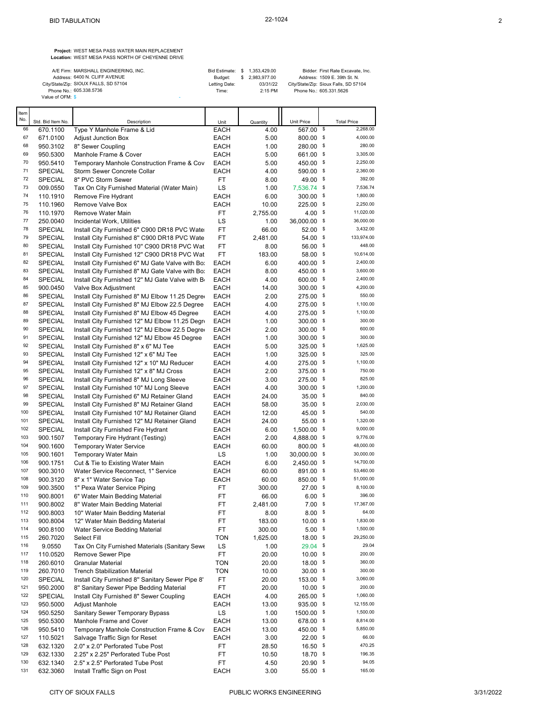**Project:** WEST MESA PASS WATER MAIN REPLACEMENT **Location:** WEST MESA PASS NORTH OF CHEYENNE DRIVE

| A/E Firm: MARSHALL ENGINEERING, INC.  | Bid Estimate: \$ 1.353.429.00 |                 | Bidder: First Rate Excavate, Inc.     |
|---------------------------------------|-------------------------------|-----------------|---------------------------------------|
| Address: 6400 N. CLIFF AVENUE         | Budget:                       | \$ 2.983.977.00 | Address: 1509 E. 39th St. N.          |
| City/State/Zip: SIOUX FALLS, SD 57104 | Letting Date:                 | 03/31/22        | City/State/Zip: Sioux Falls, SD 57104 |
| Phone No.: 605.338.5736               | Time:                         | $2:15$ PM       | Phone No.: 605.331.5626               |
| Value of OFM: \$                      |                               |                 |                                       |

...<br>No No. Std. Bid Item No. **Description Community Description** Unit Quantity Unit Price Total Price 66 670.1100 Type Y Manhole Frame & Lid EACH 4.00 567.00 \$ 2,268.00 67 671.0100 Adjust Junction Box EACH 5.00 800.00 \$ 4,000.00 <sup>68</sup> 950.3102 8" Sewer Coupling EACH 1.00 280.00 <sup>\$</sup> <sup>280.00</sup> 69 950.5300 Manhole Frame & Cover EACH 5.00 661.00 \$ 3,305.00 70 950.5410 Temporary Manhole Construction Frame & Cov EACH 5.00 450.00 \$ 2,250.00 71 SPECIAL Storm Sewer Concrete Collar EACH 4.00 590.00 \$ 2,360.00 72 SPECIAL 8" PVC Storm Sewer FT 8.00 49.00 \$ 392.00 73 009.0550 Tax On City Furnished Material (Water Main) LS 1.00 7,536.74 \$ 7,536.74 74 110.1910 Remove Fire Hydrant EACH 6.00 300.00 \$ 1,800.00 <sup>75</sup> 110.1960 Remove Valve Box **EACH** 10.00 225.00 \$ 2,250.00 76 110.1970 Remove Water Main FT 2,755.00 4.00 \$ 11,020.00 77 250.0040 Incidental Work, Utilities LS 1.00 36,000.00 \$ 36,000.00 78 SPECIAL Install City Furnished 6" C900 DR18 PVC Water FT 66.00 52.00 \$ 3,432.00<br>79 SPECIAL Install City Furnished 8" C900 DR18 PVC Water FT 2 481.00 54.00 \$ 133,974.00 79 SPECIAL Install City Furnished 8" C900 DR18 PVC Wate FT 2,481.00 54.00 \$ 133,974.00<br>148.00 56.00 56.00 1448.00 80 SPECIAL Install City Furnished 10" C900 DR18 PVC Wat FT 8.00 56.00 \$ 448.00<br>81 SPECIAL Install City Furnished 12" C900 DR18 PVC Wat FT 183.00 58.00 \$ 10,614.00 81 SPECIAL Install City Furnished 12" C900 DR18 PVC Wat FT 183.00 58.00 \$ 10,614.00<br>82 SPECIAL Install City Furnished 6" MJ Gate Valve with Bo: FACH 6.00 400.00 \$ 2,400.00 82 SPECIAL Install City Furnished 6" MJ Gate Valve with Bo: EACH 6.00 400.00 \$ 2,400.00<br>83 SPECIAL Install City Furnished 8" MJ Gate Valve with Bo: EACH 8.00 450.00 \$ 3,600.00 SPECIAL Install City Furnished 8" MJ Gate Valve with Bo: EACH 8.00 450.00 \$ 3,600.00<br>SPECIAL Install City Furnished 12" MJ Gate Valve with Br EACH 4.00 600.00 \$ 2,400.00  $84$  SPECIAL Install City Furnished 12" MJ Gate Valve with Br EACH  $4.00$  600.00 \$ 2,400.00<br> $85$  900.0450 Valve Box Adjustment Breach EACH 14.00 300.00 \$ 4,200.00 85 900.0450 Valve Box Adjustment **EACH** 14.00 300.00 \$ 4,200.00<br>86 SPECIAL Install City Furnished 8" MJ Elbow 11.25 Degret EACH 2.00 275.00 \$ 550.00 86 SPECIAL Install City Furnished 8" MJ Elbow 11.25 Degree EACH 2.00 275.00 \$ 550.00<br>87 SPECIAL Install City Furnished 8" MJ Elbow 22.5 Degree EACH 4.00 275.00 \$ 1,100.00 87 SPECIAL Install City Furnished 8" MJ Elbow 22.5 Degree EACH 4.00 275.00 \$ 1,100.00<br>88 SPECIAL Install City Furnished 8" MJ Elbow 45 Degree EACH 4.00 275.00 \$ 1,100.00 88 SPECIAL Install City Furnished 8" MJ Elbow 45 Degree EACH 4.00 275.00 \$ 1,100.00<br>89 SPECIAL Install City Furnished 12" MJ Elbow 11.25 Degre EACH 1.00 300.00 \$ 300.00 89 SPECIAL Install City Furnished 12" MJ Elbow 11.25 Degre EACH  $1.00$  300.00 \$ 300.00<br>90 SPECIAL Install City Furnished 12" MJ Elbow 22.5 Degree EACH 2.00 300.00 \$ 600.00 90 SPECIAL Install City Furnished 12" MJ Elbow 22.5 Degree EACH 2.00 300.00 \$ 600.00 91 SPECIAL Install City Furnished 12" MJ Elbow 45 Degree EACH 1.00 300.00 \$ 300.00<br>92 SPECIAL Install City Furnished 8" x 6" MJ Tee EACH 5.00 325.00 \$ 1,625.00 92 SPECIAL Install City Furnished 8" x 6" MJ Tee EACH 5.00 325.00 \$ 1,625.00 93 SPECIAL Install City Furnished  $12" \times 6"$  MJ Tee  $\overline{A}$  EACH  $\overline{A}$  1.00  $\overline{325.00}$  \$ 325.00 3<br>94 SPECIAL Install City Furnished  $12" \times 10"$  MJ Reducer FACH  $\overline{A}$  00  $\overline{275}$  00 \$ 1.100.00 94 SPECIAL Install City Furnished 12" x 10" MJ Reducer EACH 4.00 275.00 \$ 1,100.00<br>95 SPECIAL Install City Furnished 12" x 8" MJ Cross EACH 2.00 375.00 \$ 750.00 SPECIAL Install City Furnished 12" x 8" MJ Cross EACH 2.00 375.00 \$ 750.00<br>SPECIAL Install City Furnished 8" MJ Ll ong Sleeve FACH 3.00 275.00 \$ 825.00 96 SPECIAL Install City Furnished 8" MJ Long Sleeve EACH 3.00 97 SPECIAL Install City Furnished 10" MJ Long Sleeve EACH 4.00 300.00 \$ 1,200.00<br>98 SPECIAL Install City Furnished 6" MJ Retainer Gland FACH 24.00 35.00 \$ 840.00 98 SPECIAL Install City Furnished 6" MJ Retainer Gland EACH 24.00 35.00 \$ 840.00<br>99 SPECIAL Install City Furnished 8" MJ Retainer Gland EACH 58.00 35.00 \$ 2,030.00 Install City Furnished 8" MJ Retainer Gland 100 SPECIAL Install City Furnished 10" MJ Retainer Gland EACH 12.00 45.00 \$ 540.00<br>101 SPECIAL Install City Furnished 12" MJ Retainer Gland EACH 24.00 55.00 \$ 1,320.00 1,320.00 SPECIAL Install City Furnished 12" MJ Retainer Gland EACH 24.00 55.00 \$ 1,320.00<br>SPECIAL Install City Furnished Fire Hydrant FACH 6.00 1.500.00 \$ 9,000.00 102 SPECIAL Install City Furnished Fire Hydrant **EACH** 6.00 103 900.1507 Temporary Fire Hydrant (Testing) EACH 2.00 4,888.00 \$ 9,776.00 104 900.1600 Temporary Water Service EACH 60.00 800.00 \$ 48,000.00 105 900.1601 Temporary Water Main **LS** 1.00 30,000.00 \$ 30,000.00<br>106 900.1751 Cut & Tie to Existing Water Main **EACH** 6.00 2.450.00 \$ 14,700.00 106 900.1751 Cut & Tie to Existing Water Main EACH 6.00 2,450.00 \$ 14,700.00 107 Water Service Reconnect, 1" Service **EACH** 60.00 891.00 \$ 53,460.00<br>107 8" x 1" Water Service Tan FACH 60.00 850.00 \$ 51,000.00 108 900.3120 8" x 1" Water Service Tap EACH 60.00 850.00 \$ 51,000.00 109 900.3500 1" Pexa Water Service Piping FT 300.00 27.00 \$ 8,100.00<br>110 900.8001 6" Water Main Bedding Material FT 66.00 6.00 \$ 396.00 110 900.8001 6" Water Main Bedding Material CHE RESULT FT 66.00 6.00 \$ 396.00<br>17,367.00 \$ 396.00 17,367.00 5 396.00 5.00 \$ 396.00 17,367.00 111 900.8002 8'' Water Main Bedding Material FT 2,481.00 7.00 \$ 17,367.00 112 900.8003 10'' Water Main Bedding Material FT 8.00 8.00 \$ 64.00 12" Water Main Bedding Material FT 183.00 10.00 \$ 1,830.00<br>1900.8100 Water Service Bedding Material FT 300.00 5.00 \$ 1,500.00 114 900.8100 Water Service Bedding Material **FT** 300.00 5.00 \$ 1,500.00<br>115 260.7020 Select Fill **Fill Service Service Struck 162500** 18.00 \$ 29.250.00 115 260.7020 Select Fill **115** 260.7020 Select Fill **TON** 1,625.00 18.00 \$ 29,250.00 116 9.0550 Tax On City Furnished Materials (Sanitary Sewe LS 1.00 29.04 \$ 29.04 29.04 29.04 29.04 29.04 20.00 117 110.0520 Remove Sewer Pipe FT 20.00 10.00 \$ 200.00 118 260.6010 Granular Material TON 20.00 18.00 \$ 360.00 119 260.7010 Trench Stabilization Material TON 10.00 30.00 \$ 300.00<br>120 SPFCIAI Install City Furnished 8" Sanitary Sewer Pipe 8' FT 20.00 153.00 \$ 3.060.00 120 SPECIAL Install City Furnished 8'' Sanitary Sewer Pipe 8' FT 20.00 153.00 \$ 3,060.00 121 950.2000 8" Sanitary Sewer Pipe Bedding Material FT 20.00 10.00 \$ 200.00<br>122 SPECIAL Install City Furnished 8" Sewer Counting FACH 4.00 265.00 \$ 1.060.00 122 SPECIAL Install City Furnished 8" Sewer Coupling CACH 4.00 265.00 \$ 1,060.00<br>123 950.5000 Adjust Manhole CACH 513.00 935.00 \$ 12,155.00 123 950.5000 Adjust Manhole EACH 13.00 935.00 \$ 12,155.00 124 950.5250 Sanitary Sewer Temporary Bypass LS 1.00 1500.00 \$ 1,500.00 125 950.5300 Manhole Frame and Cover EACH 13.00 678.00 \$ 8,814.00 126 950.5410 Temporary Manhole Construction Frame & Cov EACH 13.00 450.00 \$ 5,850.00 127 110.5021 Salvage Traffic Sign for Reset **EACH** 3.00 22.00 \$ 66.00<br>128 632.1320 2.0" x 2.0" Perforated Tube Post FT 28.50 16.50 \$ 470.25 128 632.1320 2.0" x 2.0" Perforated Tube Post FT 28.50 16.50 \$ 470.25<br>
532.1330 2.25" x 2.25" Perforated Tube Post FT 10.50 18.70 \$ 196.35 129 632.1330 2.25" x 2.25" Perforated Tube Post FT 10.50 18.70 \$ 196.35<br>130 632.1340 2.5" x 2.5" Perforated Tube Post FT 4.50 20.90 \$ 94.05  $632.1340 - 2.5"$  x 2.5" Perforated Tube Post 131 632.3060 Install Traffic Sign on Post **EACH** 3.00 55.00 \$ 165.00